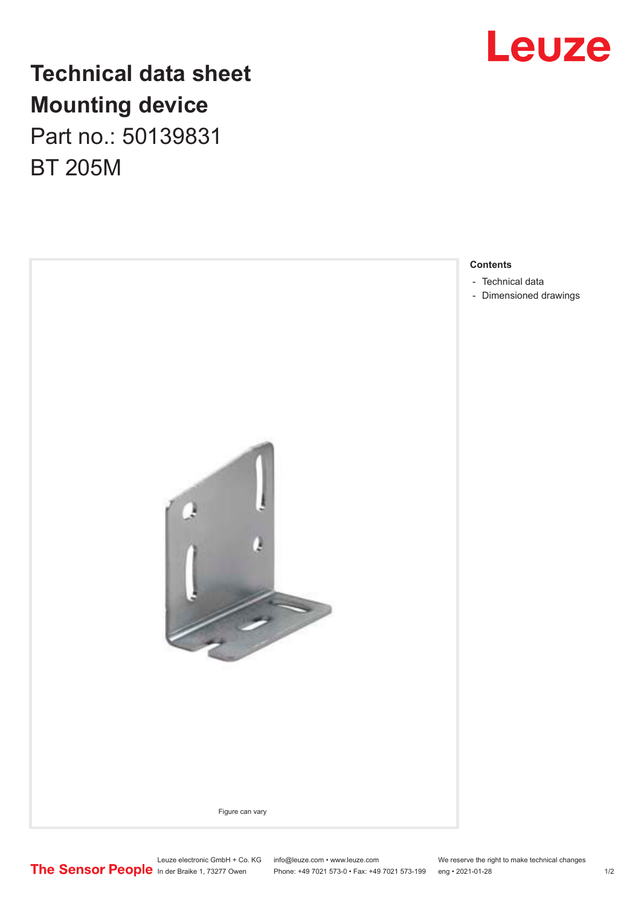

## **Technical data sheet Mounting device** Part no.: 50139831

BT 205M